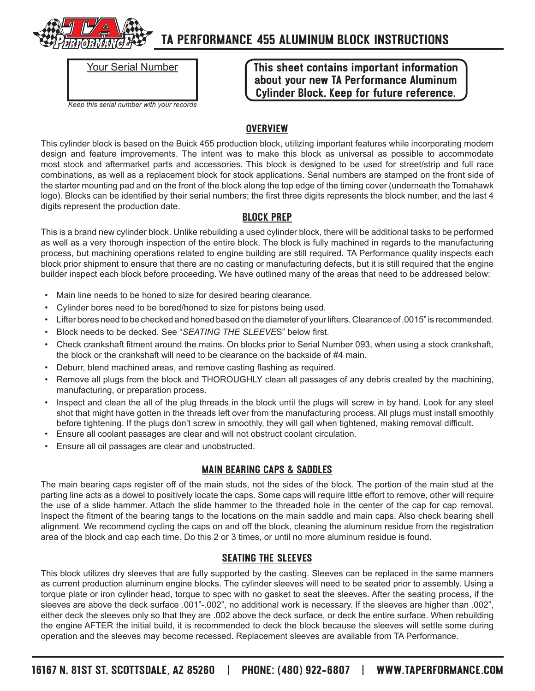

### **TA PERFORMANCE 455 ALUMINUM BLOCK INSTRUCTIONS**

| <b>Your Serial Number</b>                 |
|-------------------------------------------|
| Keep this serial number with your records |

**This sheet contains important information about your new TA Performance Aluminum Cylinder Block. Keep for future reference.**

#### **Overview**

This cylinder block is based on the Buick 455 production block, utilizing important features while incorporating modern design and feature improvements. The intent was to make this block as universal as possible to accommodate most stock and aftermarket parts and accessories. This block is designed to be used for street/strip and full race combinations, as well as a replacement block for stock applications. Serial numbers are stamped on the front side of the starter mounting pad and on the front of the block along the top edge of the timing cover (underneath the Tomahawk logo). Blocks can be identified by their serial numbers; the first three digits represents the block number, and the last 4 digits represent the production date.

#### **Block Prep**

This is a brand new cylinder block. Unlike rebuilding a used cylinder block, there will be additional tasks to be performed as well as a very thorough inspection of the entire block. The block is fully machined in regards to the manufacturing process, but machining operations related to engine building are still required. TA Performance quality inspects each block prior shipment to ensure that there are no casting or manufacturing defects, but it is still required that the engine builder inspect each block before proceeding. We have outlined many of the areas that need to be addressed below:

- Main line needs to be honed to size for desired bearing clearance.
- Cylinder bores need to be bored/honed to size for pistons being used.
- Lifter bores need to be checked and honed based on the diameter of your lifters. Clearance of .0015" is recommended.
- Block needs to be decked. See "*SEATING THE SLEEVE*S" below first.
- Check crankshaft fitment around the mains. On blocks prior to Serial Number 093, when using a stock crankshaft, the block or the crankshaft will need to be clearance on the backside of #4 main.
- Deburr, blend machined areas, and remove casting flashing as required.
- Remove all plugs from the block and THOROUGHLY clean all passages of any debris created by the machining, manufacturing, or preparation process.
- Inspect and clean the all of the plug threads in the block until the plugs will screw in by hand. Look for any steel shot that might have gotten in the threads left over from the manufacturing process. All plugs must install smoothly before tightening. If the plugs don't screw in smoothly, they will gall when tightened, making removal difficult.
- Ensure all coolant passages are clear and will not obstruct coolant circulation.
- Ensure all oil passages are clear and unobstructed.

#### **Main Bearing Caps & Saddles**

The main bearing caps register off of the main studs, not the sides of the block. The portion of the main stud at the parting line acts as a dowel to positively locate the caps. Some caps will require little effort to remove, other will require the use of a slide hammer. Attach the slide hammer to the threaded hole in the center of the cap for cap removal. Inspect the fitment of the bearing tangs to the locations on the main saddle and main caps. Also check bearing shell alignment. We recommend cycling the caps on and off the block, cleaning the aluminum residue from the registration area of the block and cap each time. Do this 2 or 3 times, or until no more aluminum residue is found.

#### **Seating The Sleeves**

This block utilizes dry sleeves that are fully supported by the casting. Sleeves can be replaced in the same manners as current production aluminum engine blocks. The cylinder sleeves will need to be seated prior to assembly. Using a torque plate or iron cylinder head, torque to spec with no gasket to seat the sleeves. After the seating process, if the sleeves are above the deck surface .001"-.002", no additional work is necessary. If the sleeves are higher than .002", either deck the sleeves only so that they are .002 above the deck surface, or deck the entire surface. When rebuilding the engine AFTER the initial build, it is recommended to deck the block because the sleeves will settle some during operation and the sleeves may become recessed. Replacement sleeves are available from TA Performance.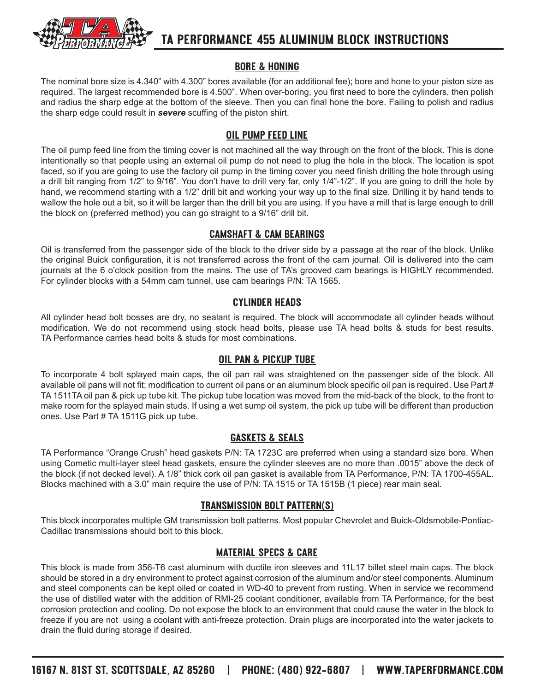

## **TA PERFORMANCE 455 ALUMINUM BLOCK INSTRUCTIONS**

#### **Bore & Honing**

The nominal bore size is 4.340" with 4.300" bores available (for an additional fee); bore and hone to your piston size as required. The largest recommended bore is 4.500". When over-boring, you first need to bore the cylinders, then polish and radius the sharp edge at the bottom of the sleeve. Then you can final hone the bore. Failing to polish and radius the sharp edge could result in *severe* scuffing of the piston shirt.

#### **Oil Pump Feed Line**

The oil pump feed line from the timing cover is not machined all the way through on the front of the block. This is done intentionally so that people using an external oil pump do not need to plug the hole in the block. The location is spot faced, so if you are going to use the factory oil pump in the timing cover you need finish drilling the hole through using a drill bit ranging from 1/2" to 9/16". You don't have to drill very far, only 1/4"-1/2". If you are going to drill the hole by hand, we recommend starting with a 1/2" drill bit and working your way up to the final size. Drilling it by hand tends to wallow the hole out a bit, so it will be larger than the drill bit you are using. If you have a mill that is large enough to drill the block on (preferred method) you can go straight to a 9/16" drill bit.

#### **Camshaft & Cam Bearings**

Oil is transferred from the passenger side of the block to the driver side by a passage at the rear of the block. Unlike the original Buick configuration, it is not transferred across the front of the cam journal. Oil is delivered into the cam journals at the 6 o'clock position from the mains. The use of TA's grooved cam bearings is HIGHLY recommended. For cylinder blocks with a 54mm cam tunnel, use cam bearings P/N: TA 1565.

#### **Cylinder Heads**

All cylinder head bolt bosses are dry, no sealant is required. The block will accommodate all cylinder heads without modification. We do not recommend using stock head bolts, please use TA head bolts & studs for best results. TA Performance carries head bolts & studs for most combinations.

#### **Oil Pan & Pickup Tube**

To incorporate 4 bolt splayed main caps, the oil pan rail was straightened on the passenger side of the block. All available oil pans will not fit; modification to current oil pans or an aluminum block specific oil pan is required. Use Part # TA 1511TA oil pan & pick up tube kit. The pickup tube location was moved from the mid-back of the block, to the front to make room for the splayed main studs. If using a wet sump oil system, the pick up tube will be different than production ones. Use Part # TA 1511G pick up tube.

#### **Gaskets & Seals**

TA Performance "Orange Crush" head gaskets P/N: TA 1723C are preferred when using a standard size bore. When using Cometic multi-layer steel head gaskets, ensure the cylinder sleeves are no more than .0015" above the deck of the block (if not decked level). A 1/8" thick cork oil pan gasket is available from TA Performance, P/N: TA 1700-455AL. Blocks machined with a 3.0" main require the use of P/N: TA 1515 or TA 1515B (1 piece) rear main seal.

#### **Transmission Bolt Pattern(s)**

This block incorporates multiple GM transmission bolt patterns. Most popular Chevrolet and Buick-Oldsmobile-Pontiac-Cadillac transmissions should bolt to this block.

#### **Material Specs & Care**

This block is made from 356-T6 cast aluminum with ductile iron sleeves and 11L17 billet steel main caps. The block should be stored in a dry environment to protect against corrosion of the aluminum and/or steel components. Aluminum and steel components can be kept oiled or coated in WD-40 to prevent from rusting. When in service we recommend the use of distilled water with the addition of RMI-25 coolant conditioner, available from TA Performance, for the best corrosion protection and cooling. Do not expose the block to an environment that could cause the water in the block to freeze if you are not using a coolant with anti-freeze protection. Drain plugs are incorporated into the water jackets to drain the fluid during storage if desired.